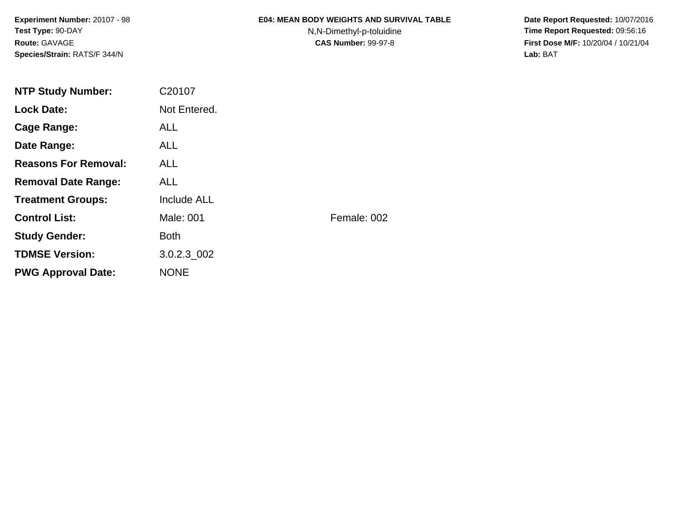**Experiment Number:** 20107 - 98**Test Type:** 90-DAY**Route:** GAVAGE**Species/Strain:** RATS/F 344/N

### **E04: MEAN BODY WEIGHTS AND SURVIVAL TABLE**

N,N-Dimethyl-p-toluidine

 **Date Report Requested:** 10/07/2016 **Time Report Requested:** 09:56:16 **First Dose M/F:** 10/20/04 / 10/21/04<br>**Lab:** BAT **Lab:** BAT

| <b>NTP Study Number:</b>    | C20107       |             |
|-----------------------------|--------------|-------------|
| <b>Lock Date:</b>           | Not Entered. |             |
| Cage Range:                 | <b>ALL</b>   |             |
| Date Range:                 | ALL.         |             |
| <b>Reasons For Removal:</b> | ALL.         |             |
| <b>Removal Date Range:</b>  | <b>ALL</b>   |             |
| <b>Treatment Groups:</b>    | Include ALL  |             |
| <b>Control List:</b>        | Male: 001    | Female: 002 |
| <b>Study Gender:</b>        | <b>Both</b>  |             |
| <b>TDMSE Version:</b>       | 3.0.2.3 002  |             |
| <b>PWG Approval Date:</b>   | <b>NONE</b>  |             |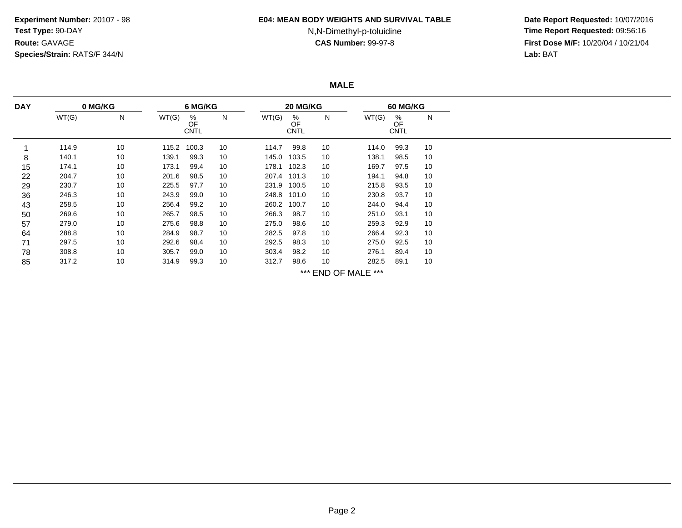**Experiment Number:** 20107 - 98**Test Type:** 90-DAY**Route:** GAVAGE**Species/Strain:** RATS/F 344/N

#### **E04: MEAN BODY WEIGHTS AND SURVIVAL TABLE**

# N,N-Dimethyl-p-toluidine

 **Date Report Requested:** 10/07/2016 **Time Report Requested:** 09:56:16 **First Dose M/F:** 10/20/04 / 10/21/04<br>**Lab:** BAT **Lab:** BAT

**MALE**

| <b>DAY</b> | 0 MG/KG |    | 6 MG/KG |                        |    | 20 MG/KG    |                        |    |                     | <b>60 MG/KG</b>        |    |  |
|------------|---------|----|---------|------------------------|----|-------------|------------------------|----|---------------------|------------------------|----|--|
|            | WT(G)   | N  | WT(G)   | %<br>OF<br><b>CNTL</b> | N  | WT(G)       | %<br>OF<br><b>CNTL</b> | N  | WT(G)               | %<br>OF<br><b>CNTL</b> | N  |  |
|            | 114.9   | 10 | 115.2   | 100.3                  | 10 | 114.7       | 99.8                   | 10 | 114.0               | 99.3                   | 10 |  |
| 8          | 140.1   | 10 | 139.1   | 99.3                   | 10 | 145.0       | 103.5                  | 10 | 138.1               | 98.5                   | 10 |  |
| 15         | 174.1   | 10 | 173.1   | 99.4                   | 10 | 178.1       | 102.3                  | 10 | 169.7               | 97.5                   | 10 |  |
| 22         | 204.7   | 10 | 201.6   | 98.5                   | 10 | 207.4       | 101.3                  | 10 | 194.1               | 94.8                   | 10 |  |
| 29         | 230.7   | 10 | 225.5   | 97.7                   | 10 |             | 231.9 100.5            | 10 | 215.8               | 93.5                   | 10 |  |
| 36         | 246.3   | 10 | 243.9   | 99.0                   | 10 | 248.8       | 101.0                  | 10 | 230.8               | 93.7                   | 10 |  |
| 43         | 258.5   | 10 | 256.4   | 99.2                   | 10 | 260.2 100.7 |                        | 10 | 244.0               | 94.4                   | 10 |  |
| 50         | 269.6   | 10 | 265.7   | 98.5                   | 10 | 266.3       | 98.7                   | 10 | 251.0               | 93.1                   | 10 |  |
| 57         | 279.0   | 10 | 275.6   | 98.8                   | 10 | 275.0       | 98.6                   | 10 | 259.3               | 92.9                   | 10 |  |
| 64         | 288.8   | 10 | 284.9   | 98.7                   | 10 | 282.5       | 97.8                   | 10 | 266.4               | 92.3                   | 10 |  |
| 71         | 297.5   | 10 | 292.6   | 98.4                   | 10 | 292.5       | 98.3                   | 10 | 275.0               | 92.5                   | 10 |  |
| 78         | 308.8   | 10 | 305.7   | 99.0                   | 10 | 303.4       | 98.2                   | 10 | 276.1               | 89.4                   | 10 |  |
| 85         | 317.2   | 10 | 314.9   | 99.3                   | 10 | 312.7       | 98.6                   | 10 | 282.5               | 89.1                   | 10 |  |
|            |         |    |         |                        |    |             |                        |    | *** END OF MALE *** |                        |    |  |